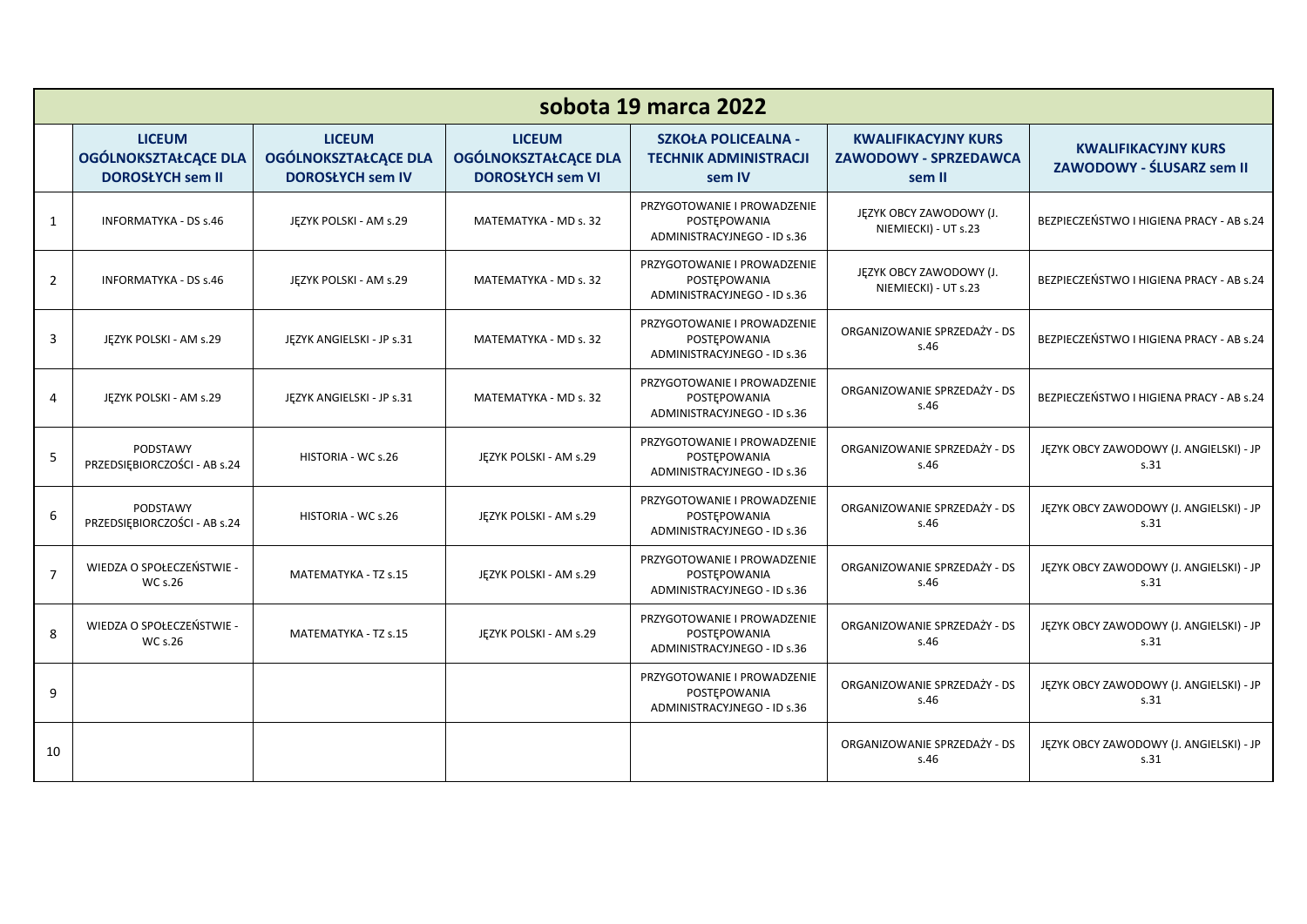| sobota 19 marca 2022    |                                                                         |                                                                         |                                                                         |                                                                            |                                                                      |                                                         |  |  |  |
|-------------------------|-------------------------------------------------------------------------|-------------------------------------------------------------------------|-------------------------------------------------------------------------|----------------------------------------------------------------------------|----------------------------------------------------------------------|---------------------------------------------------------|--|--|--|
|                         | <b>LICEUM</b><br><b>OGÓLNOKSZTAŁCĄCE DLA</b><br><b>DOROSŁYCH sem II</b> | <b>LICEUM</b><br><b>OGÓLNOKSZTAŁCĄCE DLA</b><br><b>DOROSŁYCH sem IV</b> | <b>LICEUM</b><br><b>OGÓLNOKSZTAŁCĄCE DLA</b><br><b>DOROSŁYCH sem VI</b> | <b>SZKOŁA POLICEALNA -</b><br><b>TECHNIK ADMINISTRACJI</b><br>sem IV       | <b>KWALIFIKACYJNY KURS</b><br><b>ZAWODOWY - SPRZEDAWCA</b><br>sem II | <b>KWALIFIKACYJNY KURS</b><br>ZAWODOWY - ŚLUSARZ sem II |  |  |  |
| 1                       | <b>INFORMATYKA - DS s.46</b>                                            | JEZYK POLSKI - AM s.29                                                  | MATEMATYKA - MD s. 32                                                   | PRZYGOTOWANIE I PROWADZENIE<br>POSTEPOWANIA<br>ADMINISTRACYJNEGO - ID s.36 | JĘZYK OBCY ZAWODOWY (J.<br>NIEMIECKI) - UT s.23                      | BEZPIECZEŃSTWO I HIGIENA PRACY - AB s.24                |  |  |  |
| 2                       | <b>INFORMATYKA - DS s.46</b>                                            | JEZYK POLSKI - AM s.29                                                  | MATEMATYKA - MD s. 32                                                   | PRZYGOTOWANIE I PROWADZENIE<br>POSTEPOWANIA<br>ADMINISTRACYJNEGO - ID s.36 | JĘZYK OBCY ZAWODOWY (J.<br>NIEMIECKI) - UT s.23                      | BEZPIECZEŃSTWO I HIGIENA PRACY - AB s.24                |  |  |  |
| 3                       | JEZYK POLSKI - AM s.29                                                  | JĘZYK ANGIELSKI - JP s.31                                               | MATEMATYKA - MD s. 32                                                   | PRZYGOTOWANIE I PROWADZENIE<br>POSTEPOWANIA<br>ADMINISTRACYJNEGO - ID s.36 | ORGANIZOWANIE SPRZEDAŻY - DS<br>s.46                                 | BEZPIECZEŃSTWO I HIGIENA PRACY - AB s.24                |  |  |  |
| 4                       | JEZYK POLSKI - AM s.29                                                  | JĘZYK ANGIELSKI - JP s.31                                               | MATEMATYKA - MD s. 32                                                   | PRZYGOTOWANIE I PROWADZENIE<br>POSTEPOWANIA<br>ADMINISTRACYJNEGO - ID s.36 | ORGANIZOWANIE SPRZEDAŻY - DS<br>s.46                                 | BEZPIECZEŃSTWO I HIGIENA PRACY - AB s.24                |  |  |  |
| 5                       | PODSTAWY<br>PRZEDSIĘBIORCZOŚCI - AB s.24                                | HISTORIA - WC s.26                                                      | JĘZYK POLSKI - AM s.29                                                  | PRZYGOTOWANIE I PROWADZENIE<br>POSTEPOWANIA<br>ADMINISTRACYJNEGO - ID s.36 | ORGANIZOWANIE SPRZEDAŻY - DS<br>s.46                                 | JĘZYK OBCY ZAWODOWY (J. ANGIELSKI) - JP<br>s.31         |  |  |  |
| 6                       | PODSTAWY<br>PRZEDSIĘBIORCZOŚCI - AB s.24                                | HISTORIA - WC s.26                                                      | JEZYK POLSKI - AM s.29                                                  | PRZYGOTOWANIE I PROWADZENIE<br>POSTEPOWANIA<br>ADMINISTRACYJNEGO - ID s.36 | ORGANIZOWANIE SPRZEDAŻY - DS<br>s.46                                 | JĘZYK OBCY ZAWODOWY (J. ANGIELSKI) - JP<br>s.31         |  |  |  |
| $\overline{7}$          | WIEDZA O SPOŁECZEŃSTWIE -<br>WC s.26                                    | MATEMATYKA - TZ s.15                                                    | JEZYK POLSKI - AM s.29                                                  | PRZYGOTOWANIE I PROWADZENIE<br>POSTEPOWANIA<br>ADMINISTRACYJNEGO - ID s.36 | ORGANIZOWANIE SPRZEDAŻY - DS<br>S.46                                 | JĘZYK OBCY ZAWODOWY (J. ANGIELSKI) - JP<br>S.31         |  |  |  |
| $\mathsf{\overline{8}}$ | WIEDZA O SPOŁECZEŃSTWIE -<br><b>WC s.26</b>                             | MATEMATYKA - TZ s.15                                                    | JĘZYK POLSKI - AM s.29                                                  | PRZYGOTOWANIE I PROWADZENIE<br>POSTEPOWANIA<br>ADMINISTRACYJNEGO - ID s.36 | ORGANIZOWANIE SPRZEDAŻY - DS<br>s.46                                 | JĘZYK OBCY ZAWODOWY (J. ANGIELSKI) - JP<br>s.31         |  |  |  |
| 9                       |                                                                         |                                                                         |                                                                         | PRZYGOTOWANIE I PROWADZENIE<br>POSTEPOWANIA<br>ADMINISTRACYJNEGO - ID s.36 | ORGANIZOWANIE SPRZEDAŻY - DS<br>s.46                                 | JĘZYK OBCY ZAWODOWY (J. ANGIELSKI) - JP<br>s.31         |  |  |  |
| 10                      |                                                                         |                                                                         |                                                                         |                                                                            | ORGANIZOWANIE SPRZEDAŻY - DS<br>s.46                                 | JĘZYK OBCY ZAWODOWY (J. ANGIELSKI) - JP<br>s.31         |  |  |  |